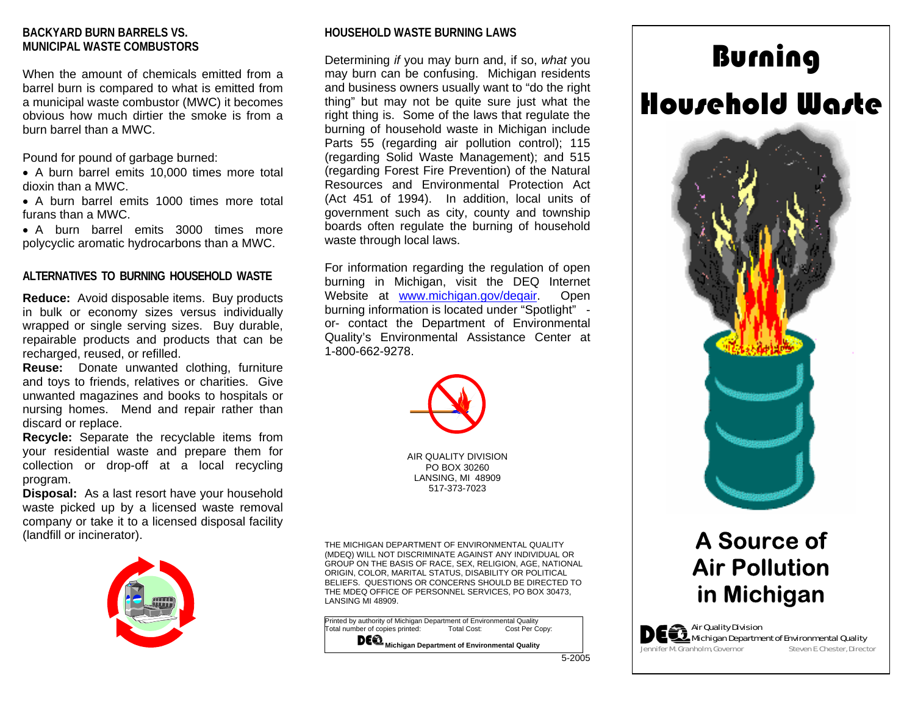# **BACKYARD BURN BARRELS VS. MUNICIPAL WASTE COMBUSTORS**

When the amount of chemicals emitted from a barrel burn is compared to what is emitted from a municipal waste combustor (MWC) it becomes obvious how much dirtier the smoke is from a burn barrel than a MWC.

Pound for pound of garbage burned:

- A burn barrel emits 10,000 times more total dioxin than a MWC.
- A burn barrel emits 1000 times more total furans than a MWC.

• A burn barrel emits 3000 times more polycyclic aromatic hydrocarbons than a MWC.

#### **ALTERNATIVES TO BURNING HOUSEHOLD WASTE**

**Reduce:** Avoid disposable items. Buy products in bulk or economy sizes versus individually wrapped or single serving sizes. Buy durable, repairable products and products that can be recharged, reused, or refilled.

**Reuse:** Donate unwanted clothing, furniture and toys to friends, relatives or charities. Give unwanted magazines and books to hospitals or nursing homes. Mend and repair rather than discard or replace.

**Recycle:** Separate the recyclable items from your residential waste and prepare them for collection or drop-off at a local recycling program.

**Disposal:** As a last resort have your household waste picked up by a licensed waste removal company or take it to a licensed disposal facility (landfill or incinerator).



#### **HOUSEHOLD WASTE BURNING LAWS**

Determining *if* you may burn and, if so, *what* you may burn can be confusing. Michigan residents and business owners usually want to "do the right thing" but may not be quite sure just what the right thing is. Some of the laws that regulate the burning of household waste in Michigan include Parts 55 (regarding air pollution control); 115 (regarding Solid Waste Management); and 515 (regarding Forest Fire Prevention) of the Natural Resources and Environmental Protection Act (Act 451 of 1994). In addition, local units of government such as city, county and township boards often regulate the burning of household waste through local laws.

For information regarding the regulation of open burning in Michigan, visit the DEQ Internet Website at www.michigan.gov/degair. Open burning information is located under "Spotlight" or- contact the Department of Environmental Quality's Environmental Assistance Center at 1-800-662-9278.



AIR QUALITY DIVISIONPO BOX 30260 LANSING, MI 48909 517-373-7023

THE MICHIGAN DEPARTMENT OF ENVIRONMENTAL QUALITY (MDEQ) WILL NOT DISCRIMINATE AGAINST ANY INDIVIDUAL OR GROUP ON THE BASIS OF RACE, SEX, RELIGION, AGE, NATIONAL ORIGIN, COLOR, MARITAL STATUS, DISABILITY OR POLITICAL BELIEFS. QUESTI ONS OR CONCERNS SHOULD BE DIRECTED TO THE MDEQ OFFICE OF PERSONNEL SERVICES, PO BOX 30473, LANSING MI 48909.

Printed by authority of Michigan Department of Environmental Quality<br>Total number of copies printed: Total Cost: Cost Per Copy: otal number of copies printed: **DE &** Michigan Department of Environmental Quality

# Burning Household Waste



# **A Source of Air Pollution in Michigan**

**A**  $\epsilon$  Air Quality Division Michigan Department of Environmental Quality Jennifer M. Granholm, Governor Steven E. Chester, Director